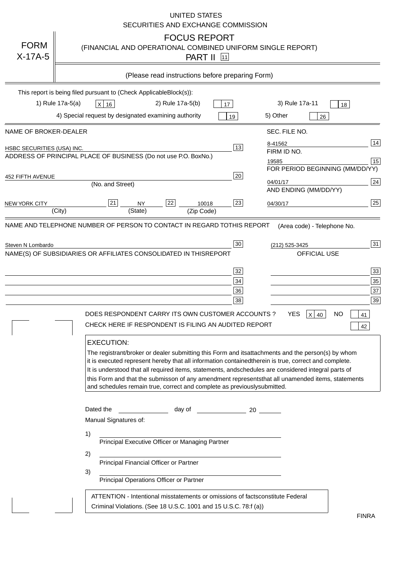|                                   | <b>UNITED STATES</b><br>SECURITIES AND EXCHANGE COMMISSION                                                                                                                                                                                                                                                                                                                                                                                                                                                                                                                                                                                                                                                                                                                                                                                                               |
|-----------------------------------|--------------------------------------------------------------------------------------------------------------------------------------------------------------------------------------------------------------------------------------------------------------------------------------------------------------------------------------------------------------------------------------------------------------------------------------------------------------------------------------------------------------------------------------------------------------------------------------------------------------------------------------------------------------------------------------------------------------------------------------------------------------------------------------------------------------------------------------------------------------------------|
| <b>FORM</b><br>$X-17A-5$          | <b>FOCUS REPORT</b><br>(FINANCIAL AND OPERATIONAL COMBINED UNIFORM SINGLE REPORT)<br><b>PART II</b> 11                                                                                                                                                                                                                                                                                                                                                                                                                                                                                                                                                                                                                                                                                                                                                                   |
|                                   | (Please read instructions before preparing Form)                                                                                                                                                                                                                                                                                                                                                                                                                                                                                                                                                                                                                                                                                                                                                                                                                         |
|                                   | This report is being filed pursuant to (Check Applicable<br>$Block(s)$ :<br>3) Rule 17a-11<br>1) Rule 17a-5(a)<br>2) Rule 17a-5(b)<br>$X$ 16<br>17<br>18<br>4) Special request by designated examining authority<br>5) Other<br>19<br>26                                                                                                                                                                                                                                                                                                                                                                                                                                                                                                                                                                                                                                 |
| NAME OF BROKER-DEALER             | SEC. FILE NO.                                                                                                                                                                                                                                                                                                                                                                                                                                                                                                                                                                                                                                                                                                                                                                                                                                                            |
| <b>HSBC SECURITIES (USA) INC.</b> | 14<br>8-41562<br>13<br>FIRM ID NO.<br>ADDRESS OF PRINCIPAL PLACE OF BUSINESS (Do not use P.O. Box<br>No.)<br>15<br>19585<br>FOR PERIOD BEGINNING (MM/DD/YY)                                                                                                                                                                                                                                                                                                                                                                                                                                                                                                                                                                                                                                                                                                              |
| <b>452 FIFTH AVENUE</b>           | 20<br>24<br>04/01/17<br>(No. and Street)<br>AND ENDING (MM/DD/YY)                                                                                                                                                                                                                                                                                                                                                                                                                                                                                                                                                                                                                                                                                                                                                                                                        |
| <b>NEW YORK CITY</b>              | 25<br>22<br>21<br>23<br><b>NY</b><br>10018<br>04/30/17<br>(City)<br>(State)<br>(Zip Code)                                                                                                                                                                                                                                                                                                                                                                                                                                                                                                                                                                                                                                                                                                                                                                                |
|                                   | NAME(S) OF SUBSIDIARIES OR AFFILIATES CONSOLIDATED IN THIS<br><b>REPORT</b><br><b>OFFICIAL USE</b><br>$\overline{33}$<br>32<br>35<br>34<br>37<br>36<br>39<br>38<br>DOES RESPONDENT CARRY ITS OWN CUSTOMER ACCOUNTS?<br><b>YES</b><br>$X$ 40<br><b>NO</b><br>41<br>CHECK HERE IF RESPONDENT IS FILING AN AUDITED REPORT<br>42<br><b>EXECUTION:</b><br>The registrant/broker or dealer submitting this Form and its<br>attachments and the person(s) by whom<br>it is executed represent hereby that all information contained<br>therein is true, correct and complete.<br>It is understood that all required items, statements, and<br>schedules are considered integral parts of<br>this Form and that the submisson of any amendment represents<br>that all unamended items, statements<br>and schedules remain true, correct and complete as previously<br>submitted. |
|                                   | Dated the<br>day of<br>20<br>Manual Signatures of:<br>1)<br>Principal Executive Officer or Managing Partner<br>2)<br>Principal Financial Officer or Partner<br>3)<br>Principal Operations Officer or Partner                                                                                                                                                                                                                                                                                                                                                                                                                                                                                                                                                                                                                                                             |
|                                   | ATTENTION - Intentional misstatements or omissions of facts<br>constitute Federal<br>Criminal Violations. (See 18 U.S.C. 1001 and 15 U.S.C. 78:f (a)<br>$\lambda$<br><b>FINRA</b>                                                                                                                                                                                                                                                                                                                                                                                                                                                                                                                                                                                                                                                                                        |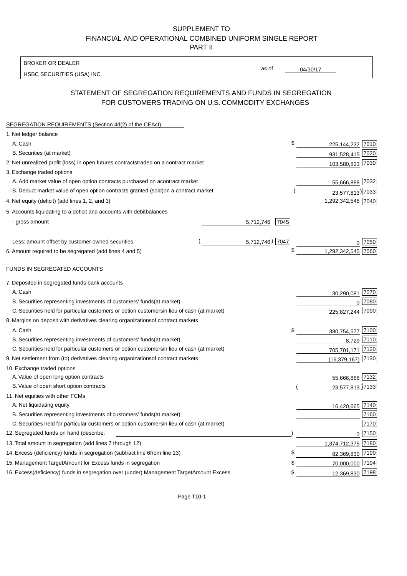BROKER OR DEALER

HSBC SECURITIES (USA) INC.

04/30/17

as of

## STATEMENT OF SEGREGATION REQUIREMENTS AND FUNDS IN SEGREGATION FOR CUSTOMERS TRADING ON U.S. COMMODITY EXCHANGES

| SEGREGATION REQUIREMENTS (Section 4d(2) of the CEAct)                                          |                             |  |
|------------------------------------------------------------------------------------------------|-----------------------------|--|
| 1. Net ledger balance                                                                          |                             |  |
| A. Cash                                                                                        | \$<br>225,144,232 7010      |  |
| B. Securities (at market)                                                                      | 931,528,415 7020            |  |
| 2. Net unrealized profit (loss) in open futures contracts<br>traded on a contract market       | 103,580,823 7030            |  |
| 3. Exchange traded options                                                                     |                             |  |
| A. Add market value of open option contracts purchased on a<br>contract market                 | 55,666,888 7032             |  |
| B. Deduct market value of open option contracts granted (sold)<br>on a contract market         | 23,577,813) 7033            |  |
| 4. Net equity (deficit) (add lines 1, 2, and 3)                                                | 1,292,342,545 7040          |  |
| 5. Accounts liquidating to a deficit and accounts with debit<br>balances                       |                             |  |
| - gross amount                                                                                 | 7045<br>5,712,746           |  |
| Less: amount offset by customer owned securities                                               | $5,712,746$ ) 7047<br>7050  |  |
| 6. Amount required to be segregated (add lines 4 and 5)                                        | \$<br>1,292,342,545<br>7060 |  |
|                                                                                                |                             |  |
| FUNDS IN SEGREGATED ACCOUNTS                                                                   |                             |  |
| 7. Deposited in segregated funds bank accounts                                                 |                             |  |
| A. Cash                                                                                        | 7070<br>30,290,081          |  |
| B. Securities representing investments of customers' funds<br>(at market)                      | 7080<br>$\Omega$            |  |
| C. Securities held for particular customers or option customers<br>in lieu of cash (at market) | 7090<br>225.827.244         |  |
| 8. Margins on deposit with derivatives clearing organizations<br>of contract markets           |                             |  |
| A. Cash                                                                                        | \$<br>7100<br>380,754,577   |  |
| B. Securities representing investments of customers' funds<br>(at market)                      | 8,729 7110                  |  |
| C. Securities held for particular customers or option customers<br>in lieu of cash (at market) | 705,701,171<br>7120         |  |
| 9. Net settlement from (to) derivatives clearing organizations<br>of contract markets          | 7130<br>(16, 379, 167)      |  |
| 10. Exchange traded options                                                                    |                             |  |
| A. Value of open long option contracts                                                         | 55,666,888 7132             |  |
| B. Value of open short option contracts                                                        | 23,577,813 7133             |  |
| 11. Net equities with other FCMs                                                               |                             |  |
| A. Net liquidating equity                                                                      | 16,420,665 7140             |  |
| B. Securities representing investments of customers' funds<br>(at market)                      | 7160                        |  |
| C. Securities held for particular customers or option customers<br>in lieu of cash (at market) | 7170                        |  |
| 12. Segregated funds on hand (describe:                                                        | 0 7150                      |  |
| 13. Total amount in segregation (add lines 7 through 12)                                       | 1,374,712,375 7180          |  |
| 14. Excess (deficiency) funds in segregation (subtract line 6<br>from line 13)                 | £<br>82,369,830 7190        |  |
| 15. Management Target Amount for Excess funds in segregation                                   | 70,000,000 7194<br>S        |  |
| 16. Excess (deficiency) funds in segregation over (under) Management Target Amount Excess      | 12,369,830 7198<br>\$       |  |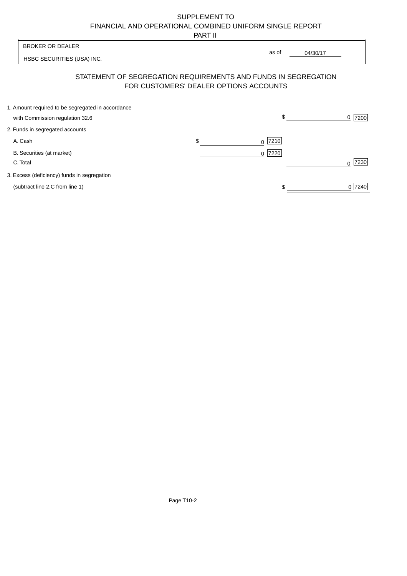PART II

|                                                   | .                                      |                                                                |                  |
|---------------------------------------------------|----------------------------------------|----------------------------------------------------------------|------------------|
| <b>BROKER OR DEALER</b>                           |                                        |                                                                |                  |
| HSBC SECURITIES (USA) INC.                        |                                        | as of<br>04/30/17                                              |                  |
|                                                   | FOR CUSTOMERS' DEALER OPTIONS ACCOUNTS | STATEMENT OF SEGREGATION REQUIREMENTS AND FUNDS IN SEGREGATION |                  |
| 1. Amount required to be segregated in accordance |                                        | \$                                                             |                  |
| with Commission regulation 32.6                   |                                        |                                                                | 7200<br>0        |
| 2. Funds in segregated accounts                   |                                        |                                                                |                  |
| A. Cash                                           | \$                                     | 7210<br>0                                                      |                  |
| B. Securities (at market)                         |                                        | 7220<br>$\Omega$                                               |                  |
| C. Total                                          |                                        |                                                                | 7230<br>$\Omega$ |
| 3. Excess (deficiency) funds in segregation       |                                        |                                                                |                  |
| (subtract line 2.C from line 1)                   |                                        |                                                                | 0 7240           |
|                                                   |                                        |                                                                |                  |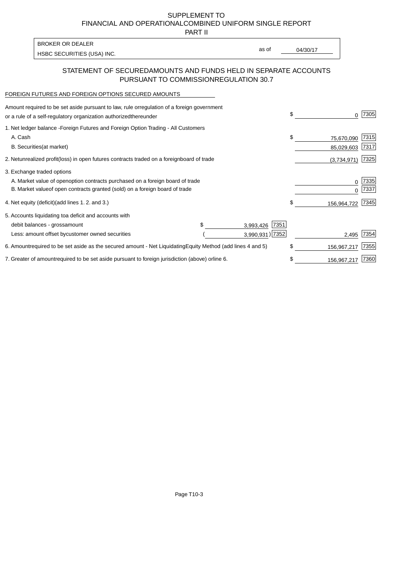PART II

HSBC SECURITIES (USA) INC. The state of the second second in the second second second second second second second second second second second second second second second second second second second second second second sec BROKER OR DEALER

# as of

#### STATEMENT OF SECURED AMOUNTS AND FUNDS HELD IN SEPARATE ACCOUNTS PURSUANT TO COMMISSION REGULATION 30.7

#### FOREIGN FUTURES AND FOREIGN OPTIONS SECURED AMOUNTS

| Amount required to be set aside pursuant to law, rule or<br>regulation of a foreign government<br>or a rule of a self-regulatory organization authorized<br>thereunder                       |                                   |                   | \$<br>0                        | 7305         |
|----------------------------------------------------------------------------------------------------------------------------------------------------------------------------------------------|-----------------------------------|-------------------|--------------------------------|--------------|
| 1. Net ledger balance - Foreign Futures and Foreign Option Trading - All Customers<br>A. Cash<br><b>B.</b> Securities<br>(at market)                                                         |                                   |                   | \$<br>75,670,090<br>85,029,603 | 7315<br>7317 |
| 2. Net unrealized profit (loss) in open futures contracts traded on a foreign                                                                                                                | board of trade                    |                   | (3,734,971)                    | 7325         |
| 3. Exchange traded options<br>A. Market value of open option contracts purchased on a foreign board of trade<br>B. Market value of open contracts granted (sold) on a foreign board of trade |                                   |                   | 0<br><sup>0</sup>              | 7335<br>7337 |
| 4. Net equity (deficit) (add lines 1.2. and 3.)                                                                                                                                              |                                   |                   | \$<br>156,964,722              | 7345         |
| 5. Accounts liquidating to a deficit and accounts with<br>debit balances - gross<br>amount                                                                                                   |                                   | 7351<br>3,993,426 |                                |              |
| Less: amount offset by customer owned securities                                                                                                                                             |                                   | 3,990,931) 7352   | 2,495                          | 7354         |
| 6. Amount required to be set aside as the secured amount - Net Liquidating                                                                                                                   | Equity Method (add lines 4 and 5) |                   | \$<br>156,967,217              | 7355         |
| 7. Greater of amount required to be set aside pursuant to foreign jurisdiction (above) or                                                                                                    | line 6.                           |                   | \$<br>156,967,217              | 7360         |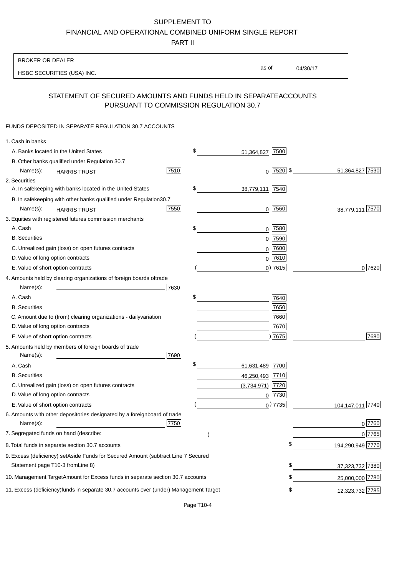PART II

| <b>BROKER OR DEALER</b>                                                                           |                       |               |                 |                  |
|---------------------------------------------------------------------------------------------------|-----------------------|---------------|-----------------|------------------|
| HSBC SECURITIES (USA) INC.                                                                        | as of                 |               | 04/30/17        |                  |
|                                                                                                   |                       |               |                 |                  |
| STATEMENT OF SECURED AMOUNTS AND FUNDS HELD IN SEPARATE<br>PURSUANT TO COMMISSION REGULATION 30.7 |                       |               | <b>ACCOUNTS</b> |                  |
| FUNDS DEPOSITED IN SEPARATE REGULATION 30.7 ACCOUNTS                                              |                       |               |                 |                  |
| 1. Cash in banks                                                                                  |                       |               |                 |                  |
| A. Banks located in the United States                                                             | \$<br>51,364,827      | 7500          |                 |                  |
| B. Other banks qualified under Regulation 30.7                                                    |                       |               |                 |                  |
| 7510<br>Name(s):<br><b>HARRIS TRUST</b>                                                           |                       | $0$  7520  \$ |                 | 51,364,827 7530  |
| 2. Securities                                                                                     |                       |               |                 |                  |
| A. In safekeeping with banks located in the United States                                         | \$<br>38,779,111 7540 |               |                 |                  |
| B. In safekeeping with other banks qualified under Regulation<br>30.7                             |                       |               |                 |                  |
| 7550<br>Name(s):<br><b>HARRIS TRUST</b>                                                           |                       | $0$ 7560      |                 | 38,779,111 7570  |
| 3. Equities with registered futures commission merchants                                          |                       |               |                 |                  |
| A. Cash                                                                                           | \$                    | $0$   7580    |                 |                  |
| <b>B.</b> Securities                                                                              | 0                     | 7590          |                 |                  |
| C. Unrealized gain (loss) on open futures contracts                                               |                       | $0$ 7600      |                 |                  |
| D. Value of long option contracts                                                                 |                       | $0$ 7610      |                 |                  |
| E. Value of short option contracts                                                                |                       | $0)$ 7615     |                 | 0 7620           |
| 4. Amounts held by clearing organizations of foreign boards of<br>trade                           |                       |               |                 |                  |
| 7630<br>Name(s):                                                                                  |                       |               |                 |                  |
| A. Cash                                                                                           | \$                    | 7640          |                 |                  |
| <b>B.</b> Securities                                                                              |                       | 7650          |                 |                  |
| C. Amount due to (from) clearing organizations - daily<br>variation                               |                       | 7660          |                 |                  |
| D. Value of long option contracts                                                                 |                       | 7670          |                 |                  |
| E. Value of short option contracts                                                                |                       | ) 7675        |                 | 7680             |
| 5. Amounts held by members of foreign boards of trade<br>Name(s):<br>7690                         |                       |               |                 |                  |
| A. Cash                                                                                           | \$<br>61,631,489 7700 |               |                 |                  |
| <b>B.</b> Securities                                                                              | 46,250,493 7710       |               |                 |                  |
| C. Unrealized gain (loss) on open futures contracts                                               | $(3,734,971)$ 7720    |               |                 |                  |
| D. Value of long option contracts                                                                 |                       | $0$ 7730      |                 |                  |
| E. Value of short option contracts                                                                |                       | $0$ ) 7735    |                 | 104,147,011 7740 |
| 6. Amounts with other depositories designated by a foreign<br>board of trade<br>7750<br>Name(s):  |                       |               |                 | 0 7760           |
| 7. Segregated funds on hand (describe:                                                            |                       |               |                 | $0$ 7765         |
| 8. Total funds in separate section 30.7 accounts                                                  |                       |               | \$              | 194,290,949 7770 |
| 9. Excess (deficiency) set Aside Funds for Secured Amount (subtract Line 7 Secured                |                       |               |                 |                  |
| Statement page T10-3 from Line 8)                                                                 |                       |               | \$              | 37,323,732 7380  |
| 10. Management Target Amount for Excess funds in separate section 30.7 accounts                   |                       |               | \$              | 25,000,000 7780  |
|                                                                                                   |                       |               |                 |                  |
| 11. Excess (deficiency) funds in separate 30.7 accounts over (under) Management Target            |                       |               | \$              | 12,323,732 7785  |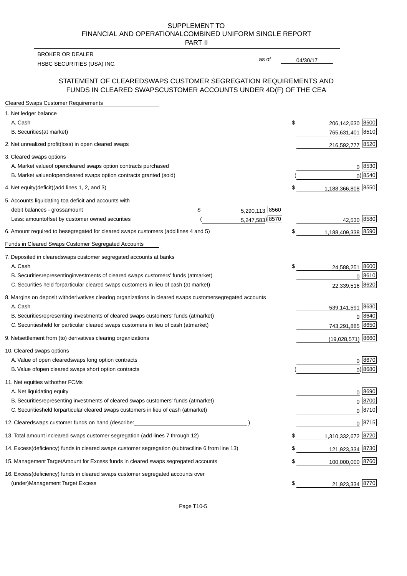PART II

HSBC SECURITIES (USA) INC. The state of the state of the state of the state of the state of the state of the state of the state of the state of the state of the state of the state of the state of the state of the state of BROKER OR DEALER

as of

#### STATEMENT OF CLEARED SWAPS CUSTOMER SEGREGATION REQUIREMENTS AND FUNDS IN CLEARED SWAPS CUSTOMER ACCOUNTS UNDER 4D(F) OF THE CEA

| <b>Cleared Swaps Customer Requirements</b>                                                                  |    |                      |
|-------------------------------------------------------------------------------------------------------------|----|----------------------|
| 1. Net ledger balance                                                                                       |    |                      |
| A. Cash                                                                                                     | \$ | 206,142,630 8500     |
| B. Securities (at market)                                                                                   |    | 8510<br>765,631,401  |
| 2. Net unrealized profit (loss) in open cleared swaps                                                       |    | 8520<br>216,592,777  |
| 3. Cleared swaps options                                                                                    |    |                      |
| A. Market value of open cleared swaps option contracts purchased                                            |    | 0   8530             |
| B. Market value of open cleared swaps option contracts granted (sold)                                       |    | $0)$ 8540            |
| 4. Net equity (deficit) (add lines 1, 2, and 3)                                                             | \$ | 1,188,366,808 8550   |
| 5. Accounts liquidating to a deficit and accounts with                                                      |    |                      |
| 5,290,113 8560<br>debit balances - gross<br>\$<br>amount                                                    |    |                      |
| 5,247,583) 8570<br>Less: amount offset by customer owned securities                                         |    | 42,530 8580          |
| 6. Amount required to be segregated for cleared swaps customers (add lines 4 and 5)                         | S  | 1,188,409,338 8590   |
| Funds in Cleared Swaps Customer Segregated Accounts                                                         |    |                      |
| 7. Deposited in cleared swaps customer segregated accounts at banks                                         |    |                      |
| A. Cash                                                                                                     | \$ | 8600<br>24,588,251   |
| B. Securities representing investments of cleared swaps customers' funds (at market)                        |    | $0^{8610}$           |
| C. Securities held for particular cleared swaps customers in lieu of cash (at market)                       |    | 22,339,516 8620      |
| 8. Margins on deposit with derivatives clearing organizations in cleared swaps customer segregated accounts |    |                      |
| A. Cash                                                                                                     |    | 539,141,591 8630     |
| representing investments of cleared swaps customers' funds (at market)<br><b>B.</b> Securities              |    | 8640<br>$\Omega$     |
| C. Securities held for particular cleared swaps customers in lieu of cash (at market)                       |    | 743,291,885 8650     |
| 9. Net settlement from (to) derivatives clearing organizations                                              |    | 8660<br>(19,028,571) |
| 10. Cleared swaps options                                                                                   |    |                      |
| A. Value of open cleared swaps long option contracts                                                        |    | $0^{8670}$           |
| B. Value of open cleared swaps short option contracts                                                       |    | $0$ ) 8680           |
| 11. Net equities with other FCMs                                                                            |    |                      |
| A. Net liquidating equity                                                                                   |    | $0^{8690}$           |
| B. Securities representing investments of cleared swaps customers' funds (at market)                        |    | $0^{8700}$           |
| C. Securities held for particular cleared swaps customers in lieu of cash (at market)                       |    | 0 8710               |
| 12. Cleared swaps customer funds on hand (describe:                                                         |    | $0 \;  8715 $        |
| 13. Total amount in cleared swaps customer segregation (add lines 7 through 12)                             | S  | 1,310,332,672 8720   |
| 14. Excess (deficiency) funds in cleared swaps customer segregation (subtract line 6 from line 13)          |    | 121,923,334 8730     |
| 15. Management Target Amount for Excess funds in cleared swaps segregated accounts                          | \$ | 100,000,000 8760     |
| 16. Excess<br>(deficiency) funds in cleared swaps customer segregated accounts over                         |    |                      |
| <b>Management Target Excess</b><br>(under)                                                                  | \$ | 21,923,334 8770      |